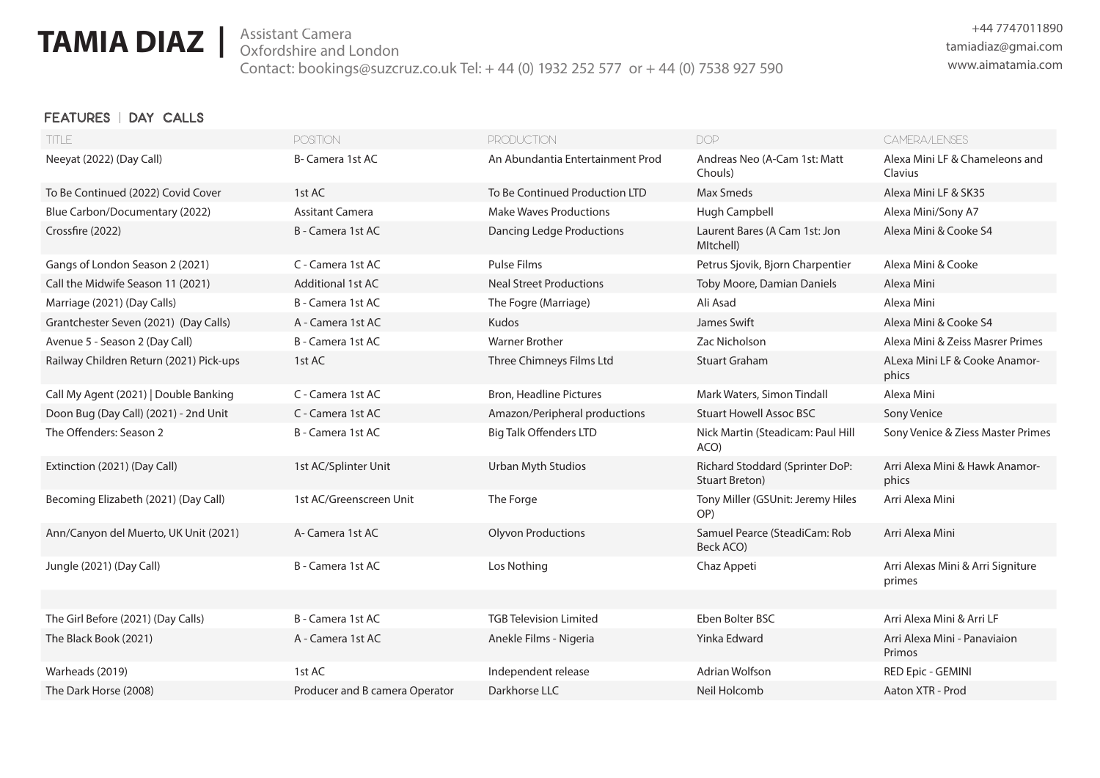# **TAMIA DIAZ** | Assistant Camera

 **|** tamiadiaz@gmai.com Assistant Camera Contact: bookings@suzcruz.co.uk Tel: + 44 (0) 1932 252 577 or + 44 (0) 7538 927 590

### **FEATURES | DAY CALLS**

| <b>TITLE</b>                            | <b>POSITION</b>                | <b>PRODUCTION</b>                | <b>DOP</b>                                        | CAMERA/LENSES                               |
|-----------------------------------------|--------------------------------|----------------------------------|---------------------------------------------------|---------------------------------------------|
| Neeyat (2022) (Day Call)                | B- Camera 1st AC               | An Abundantia Entertainment Prod | Andreas Neo (A-Cam 1st: Matt<br>Chouls)           | Alexa Mini LF & Chameleons and<br>Clavius   |
| To Be Continued (2022) Covid Cover      | 1st AC                         | To Be Continued Production LTD   | <b>Max Smeds</b>                                  | Alexa Mini LF & SK35                        |
| Blue Carbon/Documentary (2022)          | <b>Assitant Camera</b>         | <b>Make Waves Productions</b>    | Hugh Campbell                                     | Alexa Mini/Sony A7                          |
| Crossfire (2022)                        | B - Camera 1st AC              | <b>Dancing Ledge Productions</b> | Laurent Bares (A Cam 1st: Jon<br>MItchell)        | Alexa Mini & Cooke S4                       |
| Gangs of London Season 2 (2021)         | C - Camera 1st AC              | Pulse Films                      | Petrus Sjovik, Bjorn Charpentier                  | Alexa Mini & Cooke                          |
| Call the Midwife Season 11 (2021)       | <b>Additional 1st AC</b>       | <b>Neal Street Productions</b>   | Toby Moore, Damian Daniels                        | Alexa Mini                                  |
| Marriage (2021) (Day Calls)             | B - Camera 1st AC              | The Fogre (Marriage)             | Ali Asad                                          | Alexa Mini                                  |
| Grantchester Seven (2021) (Day Calls)   | A - Camera 1st AC              | <b>Kudos</b>                     | James Swift                                       | Alexa Mini & Cooke S4                       |
| Avenue 5 - Season 2 (Day Call)          | B - Camera 1st AC              | <b>Warner Brother</b>            | Zac Nicholson                                     | Alexa Mini & Zeiss Masrer Primes            |
| Railway Children Return (2021) Pick-ups | 1st AC                         | Three Chimneys Films Ltd         | <b>Stuart Graham</b>                              | ALexa Mini LF & Cooke Anamor-<br>phics      |
| Call My Agent (2021)   Double Banking   | C - Camera 1st AC              | <b>Bron, Headline Pictures</b>   | Mark Waters, Simon Tindall                        | Alexa Mini                                  |
| Doon Bug (Day Call) (2021) - 2nd Unit   | C - Camera 1st AC              | Amazon/Peripheral productions    | <b>Stuart Howell Assoc BSC</b>                    | Sony Venice                                 |
| The Offenders: Season 2                 | B - Camera 1st AC              | <b>Big Talk Offenders LTD</b>    | Nick Martin (Steadicam: Paul Hill<br>ACO)         | Sony Venice & Ziess Master Primes           |
| Extinction (2021) (Day Call)            | 1st AC/Splinter Unit           | Urban Myth Studios               | Richard Stoddard (Sprinter DoP:<br>Stuart Breton) | Arri Alexa Mini & Hawk Anamor-<br>phics     |
| Becoming Elizabeth (2021) (Day Call)    | 1st AC/Greenscreen Unit        | The Forge                        | Tony Miller (GSUnit: Jeremy Hiles<br>OP)          | Arri Alexa Mini                             |
| Ann/Canyon del Muerto, UK Unit (2021)   | A-Camera 1st AC                | <b>Olyvon Productions</b>        | Samuel Pearce (SteadiCam: Rob<br>Beck ACO)        | Arri Alexa Mini                             |
| Jungle (2021) (Day Call)                | B - Camera 1st AC              | Los Nothing                      | Chaz Appeti                                       | Arri Alexas Mini & Arri Signiture<br>primes |
|                                         |                                |                                  |                                                   |                                             |
| The Girl Before (2021) (Day Calls)      | B - Camera 1st AC              | <b>TGB Television Limited</b>    | Eben Bolter BSC                                   | Arri Alexa Mini & Arri LF                   |
| The Black Book (2021)                   | A - Camera 1st AC              | Anekle Films - Nigeria           | Yinka Edward                                      | Arri Alexa Mini - Panaviaion<br>Primos      |
| Warheads (2019)                         | 1st AC                         | Independent release              | Adrian Wolfson                                    | RED Epic - GEMINI                           |
| The Dark Horse (2008)                   | Producer and B camera Operator | Darkhorse LLC                    | Neil Holcomb                                      | Aaton XTR - Prod                            |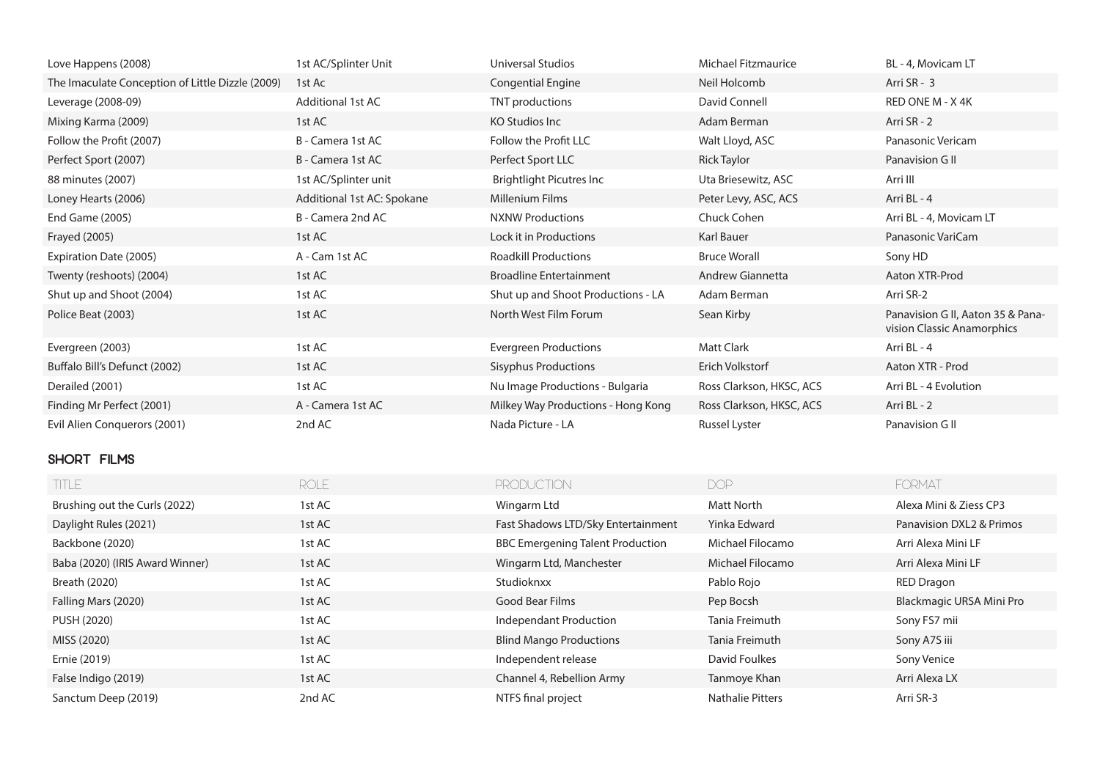| Love Happens (2008)                              | 1st AC/Splinter Unit       | <b>Universal Studios</b>                | <b>Michael Fitzmaurice</b> | BL - 4, Movicam LT                                              |
|--------------------------------------------------|----------------------------|-----------------------------------------|----------------------------|-----------------------------------------------------------------|
| The Imaculate Conception of Little Dizzle (2009) | 1st Ac                     | <b>Congential Engine</b>                | Neil Holcomb               | Arri SR - 3                                                     |
| Leverage (2008-09)                               | <b>Additional 1st AC</b>   | TNT productions                         | David Connell              | RED ONE M - X 4K                                                |
| Mixing Karma (2009)                              | 1st AC                     | <b>KO Studios Inc</b>                   | Adam Berman                | Arri SR - 2                                                     |
| Follow the Profit (2007)                         | B - Camera 1st AC          | Follow the Profit LLC                   | Walt Lloyd, ASC            | Panasonic Vericam                                               |
| Perfect Sport (2007)                             | B - Camera 1st AC          | Perfect Sport LLC                       | <b>Rick Taylor</b>         | Panavision G II                                                 |
| 88 minutes (2007)                                | 1st AC/Splinter unit       | Brightlight Picutres Inc                | Uta Briesewitz, ASC        | Arri III                                                        |
| Loney Hearts (2006)                              | Additional 1st AC: Spokane | Millenium Films                         | Peter Levy, ASC, ACS       | Arri BL - 4                                                     |
| End Game (2005)                                  | B - Camera 2nd AC          | <b>NXNW Productions</b>                 | Chuck Cohen                | Arri BL - 4, Movicam LT                                         |
| Frayed (2005)                                    | 1st AC                     | Lock it in Productions                  | Karl Bauer                 | Panasonic VariCam                                               |
| Expiration Date (2005)                           | A - Cam 1st AC             | <b>Roadkill Productions</b>             | <b>Bruce Worall</b>        | Sony HD                                                         |
| Twenty (reshoots) (2004)                         | 1st AC                     | <b>Broadline Entertainment</b>          | Andrew Giannetta           | Aaton XTR-Prod                                                  |
| Shut up and Shoot (2004)                         | 1st AC                     | Shut up and Shoot Productions - LA      | Adam Berman                | Arri SR-2                                                       |
| Police Beat (2003)                               | 1st AC                     | North West Film Forum                   | Sean Kirby                 | Panavision G II, Aaton 35 & Pana-<br>vision Classic Anamorphics |
| Evergreen (2003)                                 | 1st AC                     | <b>Evergreen Productions</b>            | <b>Matt Clark</b>          | Arri BL - 4                                                     |
| Buffalo Bill's Defunct (2002)                    | 1st AC                     | <b>Sisyphus Productions</b>             | Erich Volkstorf            | Aaton XTR - Prod                                                |
| Derailed (2001)                                  | 1st AC                     | Nu Image Productions - Bulgaria         | Ross Clarkson, HKSC, ACS   | Arri BL - 4 Evolution                                           |
| Finding Mr Perfect (2001)                        | A - Camera 1st AC          | Milkey Way Productions - Hong Kong      | Ross Clarkson, HKSC, ACS   | Arri BL - 2                                                     |
| Evil Alien Conquerors (2001)                     | 2nd AC                     | Nada Picture - LA                       | Russel Lyster              | Panavision G II                                                 |
| SHORT FILMS                                      |                            |                                         |                            |                                                                 |
| TITLE                                            | <b>ROLE</b>                | <b>PRODUCTION</b>                       | <b>DOP</b>                 | FORMAT                                                          |
| Brushing out the Curls (2022)                    | 1st AC                     | Wingarm Ltd                             | <b>Matt North</b>          | Alexa Mini & Ziess CP3                                          |
| Daylight Rules (2021)                            | 1st AC                     | Fast Shadows LTD/Sky Entertainment      | Yinka Edward               | Panavision DXL2 & Primos                                        |
| Backbone (2020)                                  | 1st AC                     | <b>BBC Emergening Talent Production</b> | Michael Filocamo           | Arri Alexa Mini LF                                              |

Baba (2020) (IRIS Award Winner) 1st AC 1999 1st AC Wingarm Ltd, Manchester Michael Filocamo Arri Alexa Mini LF Breath (2020) 1st AC Studioknxx Pablo Rojo RED Dragon

PUSH (2020) 1st AC 1 and the control of the control of the Sony FS7 mii Tania Freimuth Sony FS7 mii MISS (2020) 1st AC 15th AC Blind Mango Productions Tania Freimuth Sony A7S iii Ernie (2019) **1st AC** and the pendent release David Foulkes Sony Venice Sony Venice False Indigo (2019) **1st AC** 1st AC Channel 4, Rebellion Army Tanmoye Khan Arri Alexa LX Sanctum Deep (2019) 2nd AC 2014 2nd AC 2015 NTFS final project Nathalie Pitters Arri SR-3

Falling Mars (2020) **1st AC** and the Cood Bear Films **Cood Bear Films** Pep Bocsh Blackmagic URSA Mini Pro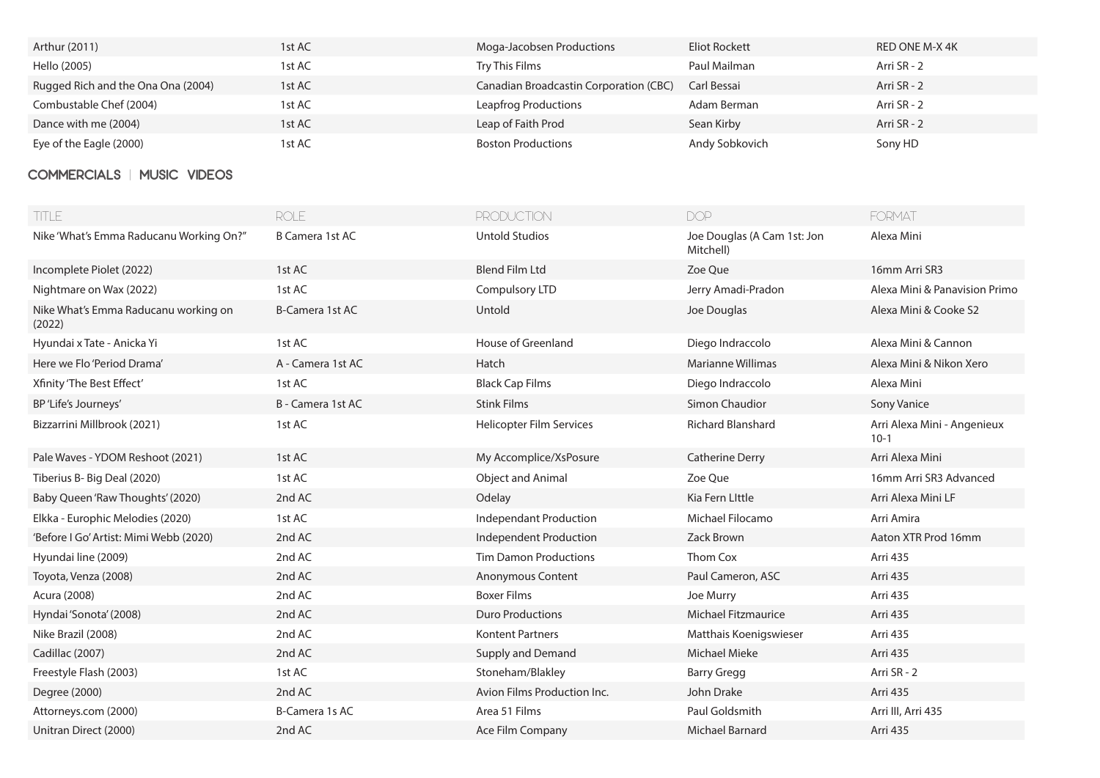| Arthur (2011)                      | 1st AC | Moga-Jacobsen Productions              | Eliot Rockett  | RED ONE M-X 4K |
|------------------------------------|--------|----------------------------------------|----------------|----------------|
| Hello (2005)                       | 1st AC | Try This Films                         | Paul Mailman   | Arri SR - 2    |
| Rugged Rich and the Ona Ona (2004) | 1st AC | Canadian Broadcastin Corporation (CBC) | Carl Bessai    | Arri SR - 2    |
| Combustable Chef (2004)            | 1st AC | Leapfrog Productions                   | Adam Berman    | Arri SR - 2    |
| Dance with me (2004)               | 1st AC | Leap of Faith Prod                     | Sean Kirby     | Arri SR - 2    |
| Eye of the Eagle (2000)            | 1st AC | <b>Boston Productions</b>              | Andy Sobkovich | Sony HD        |

## **COMMERCIALS | MUSIC VIDEOS**

| <b>TITLE</b>                                   | <b>ROLE</b>            | <b>PRODUCTION</b>             | <b>DOP</b>                               | <b>FORMAT</b>                         |
|------------------------------------------------|------------------------|-------------------------------|------------------------------------------|---------------------------------------|
| Nike 'What's Emma Raducanu Working On?"        | B Camera 1st AC        | <b>Untold Studios</b>         | Joe Douglas (A Cam 1st: Jon<br>Mitchell) | Alexa Mini                            |
| Incomplete Piolet (2022)                       | 1st AC                 | <b>Blend Film Ltd</b>         | Zoe Que                                  | 16mm Arri SR3                         |
| Nightmare on Wax (2022)                        | 1st AC                 | Compulsory LTD                | Jerry Amadi-Pradon                       | Alexa Mini & Panavision Primo         |
| Nike What's Emma Raducanu working on<br>(2022) | <b>B-Camera 1st AC</b> | Untold                        | Joe Douglas                              | Alexa Mini & Cooke S2                 |
| Hyundai x Tate - Anicka Yi                     | 1st AC                 | House of Greenland            | Diego Indraccolo                         | Alexa Mini & Cannon                   |
| Here we Flo 'Period Drama'                     | A - Camera 1st AC      | Hatch                         | <b>Marianne Willimas</b>                 | Alexa Mini & Nikon Xero               |
| Xfinity 'The Best Effect'                      | 1st AC                 | <b>Black Cap Films</b>        | Diego Indraccolo                         | Alexa Mini                            |
| BP'Life's Journeys'                            | B - Camera 1st AC      | <b>Stink Films</b>            | Simon Chaudior                           | Sony Vanice                           |
| Bizzarrini Millbrook (2021)                    | 1st AC                 | Helicopter Film Services      | <b>Richard Blanshard</b>                 | Arri Alexa Mini - Angenieux<br>$10-1$ |
| Pale Waves - YDOM Reshoot (2021)               | 1st AC                 | My Accomplice/XsPosure        | <b>Catherine Derry</b>                   | Arri Alexa Mini                       |
| Tiberius B- Big Deal (2020)                    | 1st AC                 | Object and Animal             | Zoe Que                                  | 16mm Arri SR3 Advanced                |
| Baby Queen 'Raw Thoughts' (2020)               | 2nd AC                 | Odelay                        | Kia Fern Little                          | Arri Alexa Mini LF                    |
| Elkka - Europhic Melodies (2020)               | 1st AC                 | <b>Independant Production</b> | Michael Filocamo                         | Arri Amira                            |
| 'Before I Go' Artist: Mimi Webb (2020)         | 2nd AC                 | Independent Production        | Zack Brown                               | Aaton XTR Prod 16mm                   |
| Hyundai line (2009)                            | 2nd AC                 | <b>Tim Damon Productions</b>  | Thom Cox                                 | Arri 435                              |
| Toyota, Venza (2008)                           | 2nd AC                 | Anonymous Content             | Paul Cameron, ASC                        | Arri 435                              |
| Acura (2008)                                   | 2nd AC                 | <b>Boxer Films</b>            | Joe Murry                                | Arri 435                              |
| Hyndai 'Sonota' (2008)                         | 2nd AC                 | <b>Duro Productions</b>       | <b>Michael Fitzmaurice</b>               | Arri 435                              |
| Nike Brazil (2008)                             | 2nd AC                 | <b>Kontent Partners</b>       | Matthais Koenigswieser                   | Arri 435                              |
| Cadillac (2007)                                | 2nd AC                 | Supply and Demand             | Michael Mieke                            | Arri 435                              |
| Freestyle Flash (2003)                         | 1st AC                 | Stoneham/Blakley              | <b>Barry Gregg</b>                       | Arri SR - 2                           |
| Degree (2000)                                  | 2nd AC                 | Avion Films Production Inc.   | John Drake                               | Arri 435                              |
| Attorneys.com (2000)                           | B-Camera 1s AC         | Area 51 Films                 | Paul Goldsmith                           | Arri III, Arri 435                    |
| Unitran Direct (2000)                          | 2nd AC                 | Ace Film Company              | <b>Michael Barnard</b>                   | Arri 435                              |